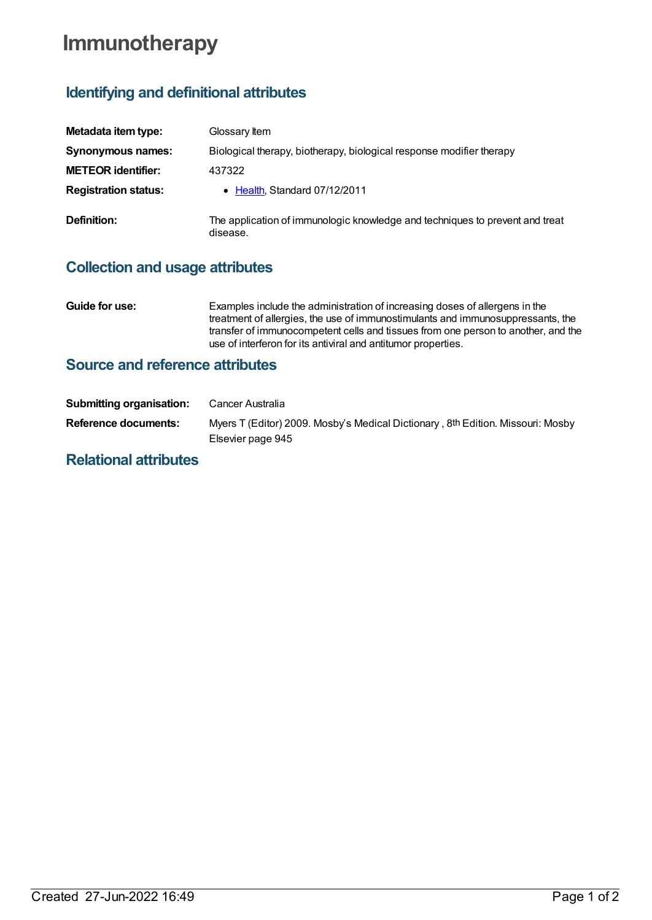# **Immunotherapy**

## **Identifying and definitional attributes**

| Metadata item type:         | Glossary Item                                                                            |
|-----------------------------|------------------------------------------------------------------------------------------|
| Synonymous names:           | Biological therapy, biotherapy, biological response modifier therapy                     |
| <b>METEOR identifier:</b>   | 437322                                                                                   |
| <b>Registration status:</b> | • Health, Standard 07/12/2011                                                            |
| Definition:                 | The application of immunologic knowledge and techniques to prevent and treat<br>disease. |

### **Collection and usage attributes**

**Guide for use:** Examples include the administration of increasing doses of allergens in the treatment of allergies, the use of immunostimulants and immunosuppressants, the transfer of immunocompetent cells and tissues from one person to another, and the use of interferon for its antiviral and antitumor properties.

#### **Source and reference attributes**

| <b>Submitting organisation:</b> | Cancer Australia                                                                                     |
|---------------------------------|------------------------------------------------------------------------------------------------------|
| Reference documents:            | Myers T (Editor) 2009. Mosby's Medical Dictionary, 8th Edition. Missouri: Mosby<br>Elsevier page 945 |
| <b>Dolotional offributos</b>    |                                                                                                      |

#### **Relational attributes**